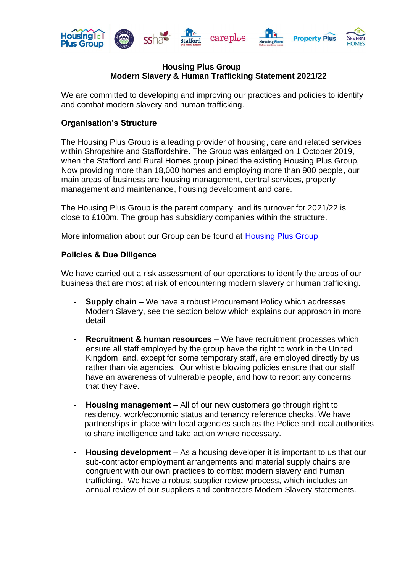

#### **Housing Plus Group Modern Slavery & Human Trafficking Statement 2021/22**

We are committed to developing and improving our practices and policies to identify and combat modern slavery and human trafficking.

### **Organisation's Structure**

The Housing Plus Group is a leading provider of housing, care and related services within Shropshire and Staffordshire. The Group was enlarged on 1 October 2019, when the Stafford and Rural Homes group joined the existing Housing Plus Group, Now providing more than 18,000 homes and employing more than 900 people, our main areas of business are housing management, central services, property management and maintenance, housing development and care.

The Housing Plus Group is the parent company, and its turnover for 2021/22 is close to £100m. The group has subsidiary companies within the structure.

More information about our Group can be found at [Housing Plus Group](http://www.housingplusgroup.co.uk/aboutus)

### **Policies & Due Diligence**

We have carried out a risk assessment of our operations to identify the areas of our business that are most at risk of encountering modern slavery or human trafficking.

- **- Supply chain –** We have a robust Procurement Policy which addresses Modern Slavery, see the section below which explains our approach in more detail
- **- Recruitment & human resources –** We have recruitment processes which ensure all staff employed by the group have the right to work in the United Kingdom, and, except for some temporary staff, are employed directly by us rather than via agencies. Our whistle blowing policies ensure that our staff have an awareness of vulnerable people, and how to report any concerns that they have.
- **- Housing management** All of our new customers go through right to residency, work/economic status and tenancy reference checks. We have partnerships in place with local agencies such as the Police and local authorities to share intelligence and take action where necessary.
- **- Housing development** As a housing developer it is important to us that our sub-contractor employment arrangements and material supply chains are congruent with our own practices to combat modern slavery and human trafficking. We have a robust supplier review process, which includes an annual review of our suppliers and contractors Modern Slavery statements.